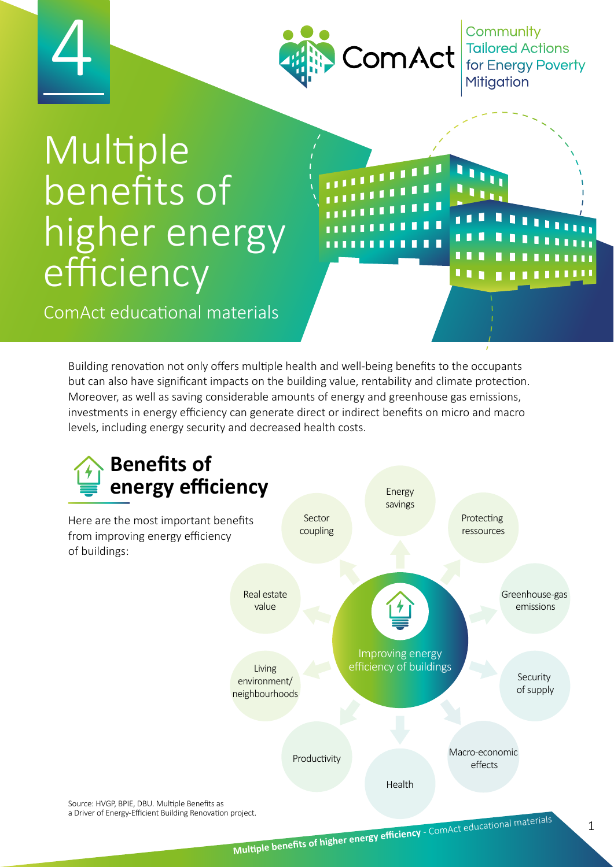



Community Tailored Actions<br>for Energy Poverty **Mitigation** 

**.** 

# Multiple benefits of higher energy efficiency

ComAct educational materials

Building renovation not only offers multiple health and well-being benefits to the occupants but can also have significant impacts on the building value, rentability and climate protection. Moreover, as well as saving considerable amounts of energy and greenhouse gas emissions, investments in energy efficiency can generate direct or indirect benefits on micro and macro levels, including energy security and decreased health costs.

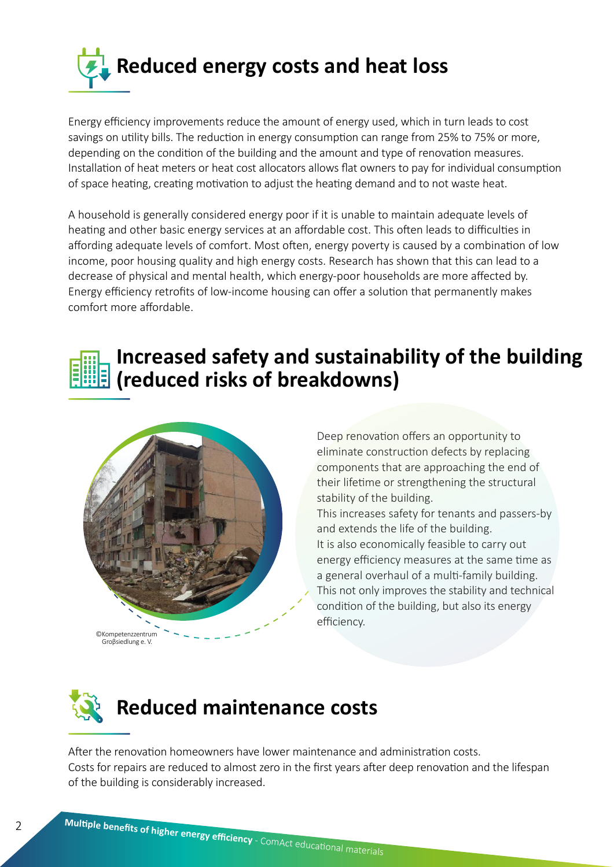

Energy efficiency improvements reduce the amount of energy used, which in turn leads to cost savings on utility bills. The reduction in energy consumption can range from 25% to 75% or more, depending on the condition of the building and the amount and type of renovation measures. Installation of heat meters or heat cost allocators allows flat owners to pay for individual consumption of space heating, creating motivation to adjust the heating demand and to not waste heat.

A household is generally considered energy poor if it is unable to maintain adequate levels of heating and other basic energy services at an affordable cost. This often leads to difficulties in affording adequate levels of comfort. Most often, energy poverty is caused by a combination of low income, poor housing quality and high energy costs. Research has shown that this can lead to a decrease of physical and mental health, which energy-poor households are more affected by. Energy efficiency retrofits of low-income housing can offer a solution that permanently makes comfort more affordable.

#### **(reduced risks of breakdowns) Increased safety and sustainability of the building**



Deep renovation offers an opportunity to eliminate construction defects by replacing components that are approaching the end of their lifetime or strengthening the structural stability of the building.

This increases safety for tenants and passers-by and extends the life of the building. It is also economically feasible to carry out energy efficiency measures at the same time as a general overhaul of a multi-family building. This not only improves the stability and technical condition of the building, but also its energy efficiency.



After the renovation homeowners have lower maintenance and administration costs. Costs for repairs are reduced to almost zero in the first years after deep renovation and the lifespan of the building is considerably increased.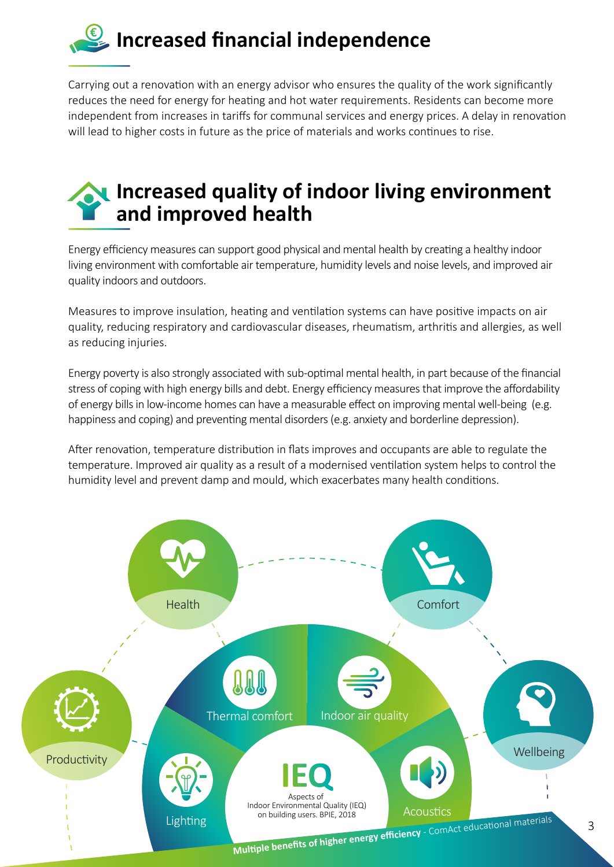## **Increased financial independence**

Carrying out a renovation with an energy advisor who ensures the quality of the work significantly reduces the need for energy for heating and hot water requirements. Residents can become more independent from increases in tariffs for communal services and energy prices. A delay in renovation will lead to higher costs in future as the price of materials and works continues to rise.

#### **Increased quality of indoor living environment and improved health**

Energy efficiency measures can support good physical and mental health by creating a healthy indoor living environment with comfortable air temperature, humidity levels and noise levels, and improved air quality indoors and outdoors.

Measures to improve insulation, heating and ventilation systems can have positive impacts on air quality, reducing respiratory and cardiovascular diseases, rheumatism, arthritis and allergies, as well as reducing injuries.

Energy poverty is also strongly associated with sub-optimal mental health, in part because of the financial stress of coping with high energy bills and debt. Energy efficiency measures that improve the affordability of energy bills in low-income homes can have a measurable effect on improving mental well-being (e.g. happiness and coping) and preventing mental disorders (e.g. anxiety and borderline depression).

After renovation, temperature distribution in flats improves and occupants are able to regulate the temperature. Improved air quality as a result of a modernised ventilation system helps to control the humidity level and prevent damp and mould, which exacerbates many health conditions.

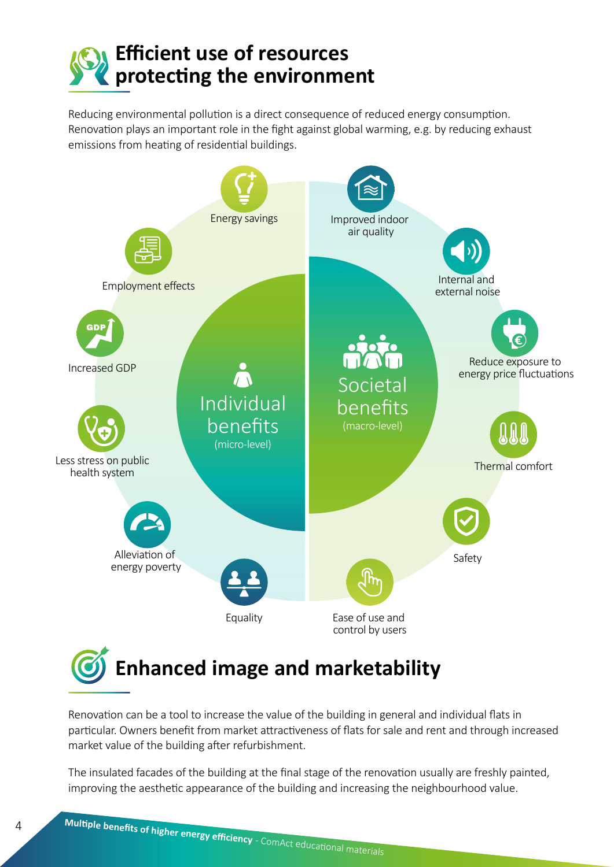

Reducing environmental pollution is a direct consequence of reduced energy consumption. Renovation plays an important role in the fight against global warming, e.g. by reducing exhaust emissions from heating of residential buildings.



Renovation can be a tool to increase the value of the building in general and individual flats in particular. Owners benefit from market attractiveness of flats for sale and rent and through increased market value of the building after refurbishment.

The insulated facades of the building at the final stage of the renovation usually are freshly painted, improving the aesthetic appearance of the building and increasing the neighbourhood value.